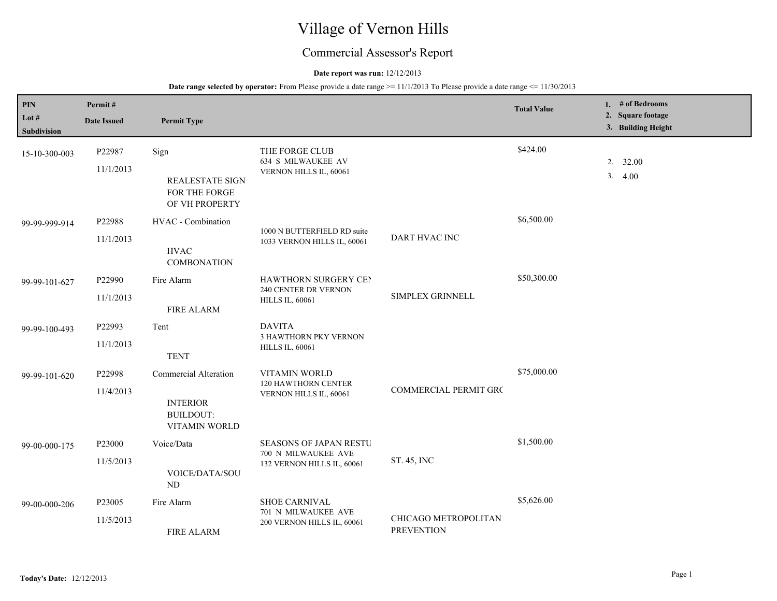# Village of Vernon Hills

## Commercial Assessor's Report

## **Date report was run:** 12/12/2013

| PIN<br>Lot $#$ | Permit#<br><b>Date Issued</b> | <b>Permit Type</b>                                        |                                                                        |                                           | <b>Total Value</b> |  | 1. # of Bedrooms<br>2. Square footage |
|----------------|-------------------------------|-----------------------------------------------------------|------------------------------------------------------------------------|-------------------------------------------|--------------------|--|---------------------------------------|
| Subdivision    |                               |                                                           |                                                                        |                                           |                    |  | 3. Building Height                    |
| 15-10-300-003  | P22987                        | Sign                                                      | THE FORGE CLUB                                                         | \$424.00                                  |                    |  |                                       |
|                | 11/1/2013                     | <b>REALESTATE SIGN</b><br>FOR THE FORGE<br>OF VH PROPERTY | 634 S MILWAUKEE AV<br>VERNON HILLS IL, 60061                           |                                           |                    |  | 2.32.00<br>3.4.00                     |
| 99-99-999-914  | P22988                        | HVAC - Combination                                        |                                                                        |                                           | \$6,500.00         |  |                                       |
|                | 11/1/2013                     | <b>HVAC</b><br><b>COMBONATION</b>                         | 1000 N BUTTERFIELD RD suite<br>1033 VERNON HILLS IL, 60061             | DART HVAC INC                             |                    |  |                                       |
| 99-99-101-627  | P22990                        | Fire Alarm                                                | HAWTHORN SURGERY CEN<br>240 CENTER DR VERNON<br><b>HILLS IL, 60061</b> | SIMPLEX GRINNELL                          | \$50,300.00        |  |                                       |
|                | 11/1/2013                     | <b>FIRE ALARM</b>                                         |                                                                        |                                           |                    |  |                                       |
| 99-99-100-493  | P22993                        | Tent                                                      | <b>DAVITA</b><br>3 HAWTHORN PKY VERNON<br><b>HILLS IL, 60061</b>       |                                           |                    |  |                                       |
|                | 11/1/2013                     | <b>TENT</b>                                               |                                                                        |                                           |                    |  |                                       |
| 99-99-101-620  | P22998                        | Commercial Alteration                                     | VITAMIN WORLD<br>120 HAWTHORN CENTER                                   | \$75,000.00<br>COMMERCIAL PERMIT GRC      |                    |  |                                       |
|                | 11/4/2013                     | <b>INTERIOR</b><br><b>BUILDOUT:</b><br>VITAMIN WORLD      | VERNON HILLS IL, 60061                                                 |                                           |                    |  |                                       |
| 99-00-000-175  | P23000                        | Voice/Data                                                | <b>SEASONS OF JAPAN RESTU</b><br>700 N MILWAUKEE AVE                   | ST. 45, INC                               | \$1,500.00         |  |                                       |
|                | 11/5/2013                     | VOICE/DATA/SOU<br>N <sub>D</sub>                          | 132 VERNON HILLS IL, 60061                                             |                                           |                    |  |                                       |
| 99-00-000-206  | P23005                        | Fire Alarm                                                | SHOE CARNIVAL                                                          | CHICAGO METROPOLITAN<br><b>PREVENTION</b> | \$5,626.00         |  |                                       |
|                | 11/5/2013                     | <b>FIRE ALARM</b>                                         | 701 N MILWAUKEE AVE<br>200 VERNON HILLS IL, 60061                      |                                           |                    |  |                                       |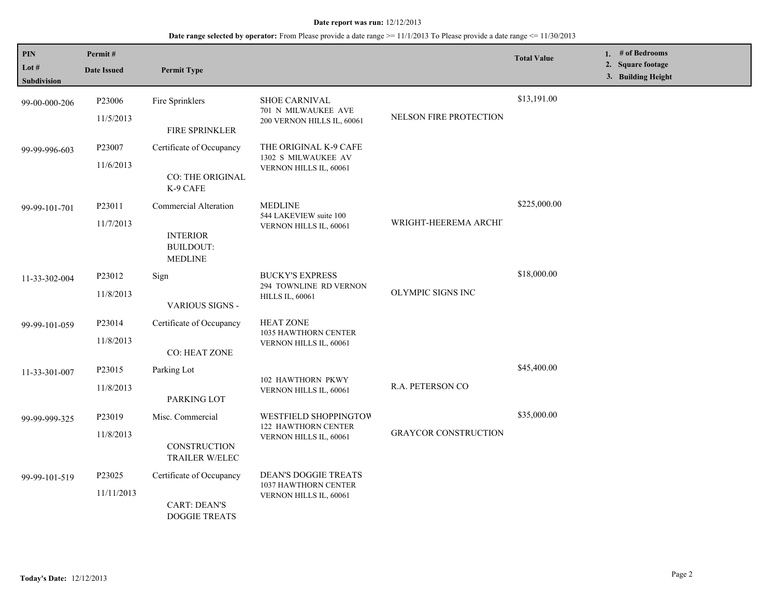| PIN<br>Lot #<br><b>Subdivision</b> | Permit#<br><b>Date Issued</b> | <b>Permit Type</b>                                                             |                                                                               |                             | <b>Total Value</b> | 1. # of Bedrooms<br>2. Square footage<br>3. Building Height |
|------------------------------------|-------------------------------|--------------------------------------------------------------------------------|-------------------------------------------------------------------------------|-----------------------------|--------------------|-------------------------------------------------------------|
| 99-00-000-206                      | P23006<br>11/5/2013           | Fire Sprinklers<br>FIRE SPRINKLER                                              | <b>SHOE CARNIVAL</b><br>701 N MILWAUKEE AVE<br>200 VERNON HILLS IL, 60061     | NELSON FIRE PROTECTION      | \$13,191.00        |                                                             |
| 99-99-996-603                      | P23007<br>11/6/2013           | Certificate of Occupancy<br>CO: THE ORIGINAL<br>K-9 CAFE                       | THE ORIGINAL K-9 CAFE<br>1302 S MILWAUKEE AV<br>VERNON HILLS IL, 60061        |                             |                    |                                                             |
| 99-99-101-701                      | P23011<br>11/7/2013           | Commercial Alteration<br><b>INTERIOR</b><br><b>BUILDOUT:</b><br><b>MEDLINE</b> | <b>MEDLINE</b><br>544 LAKEVIEW suite 100<br>VERNON HILLS IL, 60061            | WRIGHT-HEEREMA ARCHIT       | \$225,000.00       |                                                             |
| 11-33-302-004                      | P23012<br>11/8/2013           | Sign<br>VARIOUS SIGNS -                                                        | <b>BUCKY'S EXPRESS</b><br>294 TOWNLINE RD VERNON<br><b>HILLS IL, 60061</b>    | OLYMPIC SIGNS INC           | \$18,000.00        |                                                             |
| 99-99-101-059                      | P23014<br>11/8/2013           | Certificate of Occupancy<br><b>CO: HEAT ZONE</b>                               | <b>HEAT ZONE</b><br>1035 HAWTHORN CENTER<br>VERNON HILLS IL, 60061            |                             |                    |                                                             |
| 11-33-301-007                      | P23015<br>11/8/2013           | Parking Lot<br>PARKING LOT                                                     | 102 HAWTHORN PKWY<br>VERNON HILLS IL, 60061                                   | R.A. PETERSON CO            | \$45,400.00        |                                                             |
| 99-99-999-325                      | P23019<br>11/8/2013           | Misc. Commercial<br>CONSTRUCTION<br>TRAILER W/ELEC                             | WESTFIELD SHOPPINGTOW<br>122 HAWTHORN CENTER<br>VERNON HILLS IL, 60061        | <b>GRAYCOR CONSTRUCTION</b> | \$35,000.00        |                                                             |
| 99-99-101-519                      | P23025<br>11/11/2013          | Certificate of Occupancy<br><b>CART: DEAN'S</b><br><b>DOGGIE TREATS</b>        | <b>DEAN'S DOGGIE TREATS</b><br>1037 HAWTHORN CENTER<br>VERNON HILLS IL, 60061 |                             |                    |                                                             |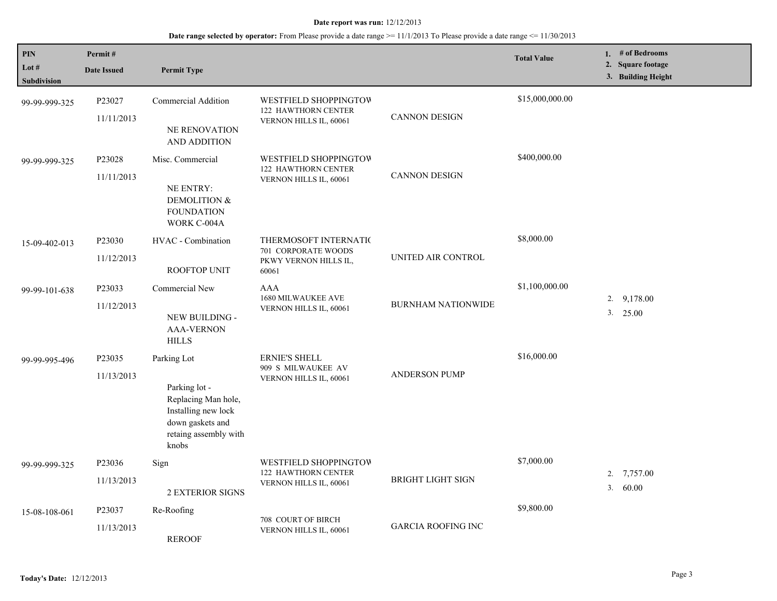| <b>PIN</b><br>Lot #<br><b>Subdivision</b> | Permit#<br><b>Date Issued</b> | <b>Permit Type</b>                                                                                                               |                                                                                |                           | <b>Total Value</b> | 1. $#$ of Bedrooms<br>2. Square footage<br>3. Building Height |
|-------------------------------------------|-------------------------------|----------------------------------------------------------------------------------------------------------------------------------|--------------------------------------------------------------------------------|---------------------------|--------------------|---------------------------------------------------------------|
| 99-99-999-325                             | P23027<br>11/11/2013          | Commercial Addition<br><b>NE RENOVATION</b><br><b>AND ADDITION</b>                                                               | WESTFIELD SHOPPINGTOW<br>122 HAWTHORN CENTER<br>VERNON HILLS IL, 60061         | <b>CANNON DESIGN</b>      | \$15,000,000.00    |                                                               |
| 99-99-999-325                             | P23028<br>11/11/2013          | Misc. Commercial<br><b>NE ENTRY:</b><br>DEMOLITION &<br><b>FOUNDATION</b><br>WORK C-004A                                         | WESTFIELD SHOPPINGTOW<br>122 HAWTHORN CENTER<br>VERNON HILLS IL, 60061         | <b>CANNON DESIGN</b>      | \$400,000.00       |                                                               |
| 15-09-402-013                             | P23030<br>11/12/2013          | HVAC - Combination<br>ROOFTOP UNIT                                                                                               | THERMOSOFT INTERNATIC<br>701 CORPORATE WOODS<br>PKWY VERNON HILLS IL,<br>60061 | UNITED AIR CONTROL        | \$8,000.00         |                                                               |
| 99-99-101-638                             | P23033<br>11/12/2013          | Commercial New<br>NEW BUILDING -<br><b>AAA-VERNON</b><br><b>HILLS</b>                                                            | <b>AAA</b><br>1680 MILWAUKEE AVE<br>VERNON HILLS IL, 60061                     | <b>BURNHAM NATIONWIDE</b> | \$1,100,000.00     | 9,178.00<br>2.<br>3. 25.00                                    |
| 99-99-995-496                             | P23035<br>11/13/2013          | Parking Lot<br>Parking lot -<br>Replacing Man hole,<br>Installing new lock<br>down gaskets and<br>retaing assembly with<br>knobs | ERNIE'S SHELL<br>909 S MILWAUKEE AV<br>VERNON HILLS IL, 60061                  | <b>ANDERSON PUMP</b>      | \$16,000.00        |                                                               |
| 99-99-999-325                             | P23036<br>11/13/2013          | Sign<br><b>2 EXTERIOR SIGNS</b>                                                                                                  | WESTFIELD SHOPPINGTOW<br>122 HAWTHORN CENTER<br>VERNON HILLS IL, 60061         | <b>BRIGHT LIGHT SIGN</b>  | \$7,000.00         | 2.<br>7,757.00<br>3.<br>60.00                                 |
| 15-08-108-061                             | P23037<br>11/13/2013          | Re-Roofing<br><b>REROOF</b>                                                                                                      | 708 COURT OF BIRCH<br>VERNON HILLS IL, 60061                                   | <b>GARCIA ROOFING INC</b> | \$9,800.00         |                                                               |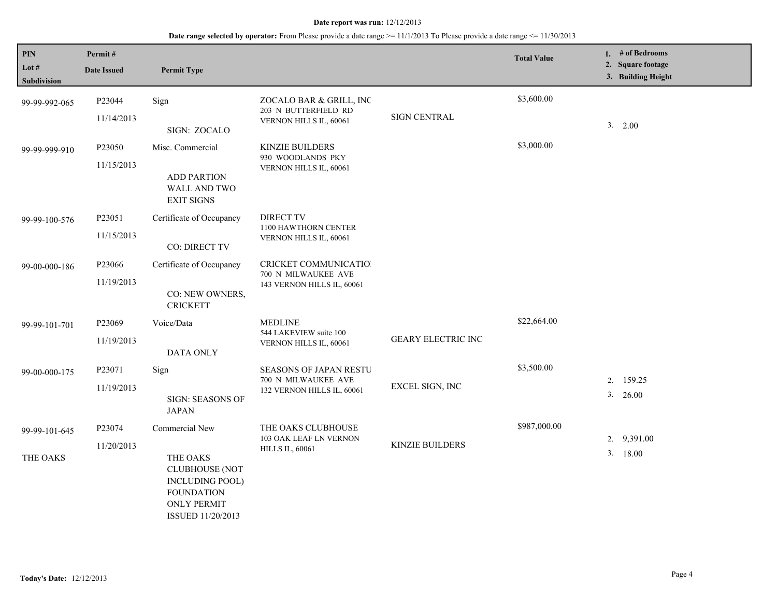| PIN<br>Lot #<br>Subdivision | Permit#<br><b>Date Issued</b>    | <b>Permit Type</b>                                                                          |                                                                                    |                           | <b>Total Value</b> | 1. # of Bedrooms<br>2. Square footage<br>3. Building Height |
|-----------------------------|----------------------------------|---------------------------------------------------------------------------------------------|------------------------------------------------------------------------------------|---------------------------|--------------------|-------------------------------------------------------------|
| 99-99-992-065               | P23044<br>11/14/2013             | Sign<br>SIGN: ZOCALO                                                                        | ZOCALO BAR & GRILL, INC<br>203 N BUTTERFIELD RD<br>VERNON HILLS IL, 60061          | <b>SIGN CENTRAL</b>       | \$3,600.00         | 3. 2.00                                                     |
| 99-99-999-910               | P23050<br>11/15/2013             | Misc. Commercial<br><b>ADD PARTION</b><br>WALL AND TWO<br><b>EXIT SIGNS</b>                 | KINZIE BUILDERS<br>930 WOODLANDS PKY<br>VERNON HILLS IL, 60061                     |                           | \$3,000.00         |                                                             |
| 99-99-100-576               | P23051<br>11/15/2013             | Certificate of Occupancy<br>CO: DIRECT TV                                                   | <b>DIRECT TV</b><br>1100 HAWTHORN CENTER<br>VERNON HILLS IL, 60061                 |                           |                    |                                                             |
| 99-00-000-186               | P23066<br>11/19/2013             | Certificate of Occupancy<br>CO: NEW OWNERS,<br><b>CRICKETT</b>                              | CRICKET COMMUNICATIO<br>700 N MILWAUKEE AVE<br>143 VERNON HILLS IL, 60061          |                           |                    |                                                             |
| 99-99-101-701               | P23069<br>11/19/2013             | Voice/Data<br><b>DATA ONLY</b>                                                              | <b>MEDLINE</b><br>544 LAKEVIEW suite 100<br>VERNON HILLS IL, 60061                 | <b>GEARY ELECTRIC INC</b> | \$22,664.00        |                                                             |
| 99-00-000-175               | P23071<br>11/19/2013             | Sign<br><b>SIGN: SEASONS OF</b><br><b>JAPAN</b>                                             | <b>SEASONS OF JAPAN RESTU</b><br>700 N MILWAUKEE AVE<br>132 VERNON HILLS IL, 60061 | EXCEL SIGN, INC           | \$3,500.00         | 2. 159.25<br>3. 26.00                                       |
| 99-99-101-645<br>THE OAKS   | P <sub>23074</sub><br>11/20/2013 | Commercial New<br>THE OAKS<br><b>CLUBHOUSE (NOT</b><br>INCLUDING POOL)<br><b>FOUNDATION</b> | THE OAKS CLUBHOUSE<br>103 OAK LEAF LN VERNON<br><b>HILLS IL, 60061</b>             | <b>KINZIE BUILDERS</b>    | \$987,000.00       | 9,391.00<br>2.<br>3.18.00                                   |
|                             |                                  | <b>ONLY PERMIT</b><br>ISSUED 11/20/2013                                                     |                                                                                    |                           |                    |                                                             |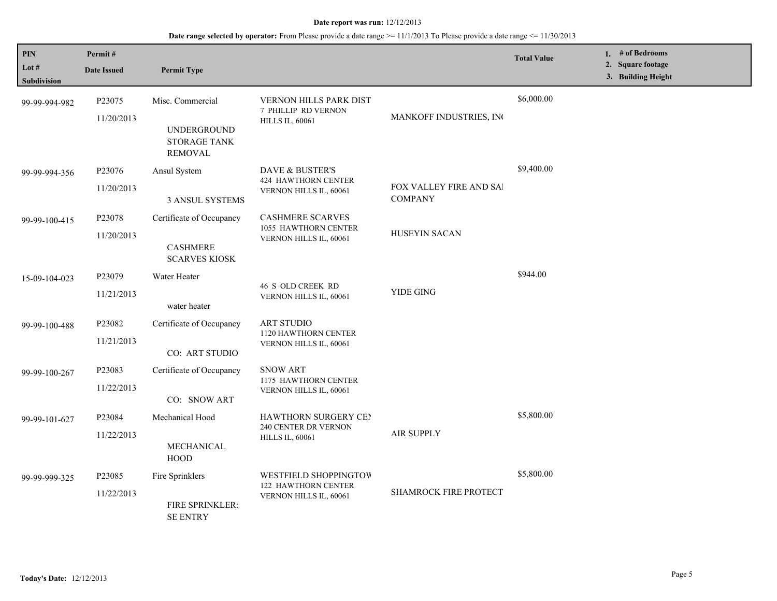| PIN<br>Lot #<br><b>Subdivision</b> | Permit#<br><b>Date Issued</b>    | <b>Permit Type</b>                                                       |                                                                                      |                                                  | <b>Total Value</b> | 1. # of Bedrooms<br>2. Square footage<br>3. Building Height |
|------------------------------------|----------------------------------|--------------------------------------------------------------------------|--------------------------------------------------------------------------------------|--------------------------------------------------|--------------------|-------------------------------------------------------------|
| 99-99-994-982                      | P23075<br>11/20/2013             | Misc. Commercial<br>UNDERGROUND<br><b>STORAGE TANK</b><br><b>REMOVAL</b> | VERNON HILLS PARK DIST<br>7 PHILLIP RD VERNON<br><b>HILLS IL, 60061</b>              | MANKOFF INDUSTRIES, INC                          | \$6,000.00         |                                                             |
| 99-99-994-356                      | P23076<br>11/20/2013             | Ansul System<br>3 ANSUL SYSTEMS                                          | DAVE & BUSTER'S<br>424 HAWTHORN CENTER<br>VERNON HILLS IL, 60061                     | <b>FOX VALLEY FIRE AND SAI</b><br><b>COMPANY</b> | \$9,400.00         |                                                             |
| 99-99-100-415                      | P23078<br>11/20/2013             | Certificate of Occupancy<br><b>CASHMERE</b><br><b>SCARVES KIOSK</b>      | <b>CASHMERE SCARVES</b><br>1055 HAWTHORN CENTER<br>VERNON HILLS IL, 60061            | <b>HUSEYIN SACAN</b>                             |                    |                                                             |
| 15-09-104-023                      | P <sub>23079</sub><br>11/21/2013 | Water Heater<br>water heater                                             | <b>46 S OLD CREEK RD</b><br>VERNON HILLS IL, 60061                                   | YIDE GING                                        | \$944.00           |                                                             |
| 99-99-100-488                      | P23082<br>11/21/2013             | Certificate of Occupancy<br>CO: ART STUDIO                               | <b>ART STUDIO</b><br>1120 HAWTHORN CENTER<br>VERNON HILLS IL, 60061                  |                                                  |                    |                                                             |
| 99-99-100-267                      | P23083<br>11/22/2013             | Certificate of Occupancy<br>CO: SNOW ART                                 | <b>SNOW ART</b><br>1175 HAWTHORN CENTER<br>VERNON HILLS IL, 60061                    |                                                  |                    |                                                             |
| 99-99-101-627                      | P <sub>23084</sub><br>11/22/2013 | Mechanical Hood<br>MECHANICAL<br><b>HOOD</b>                             | <b>HAWTHORN SURGERY CEN</b><br>240 CENTER DR VERNON<br><b>HILLS IL, 60061</b>        | <b>AIR SUPPLY</b>                                | \$5,800.00         |                                                             |
| 99-99-999-325                      | P23085<br>11/22/2013             | Fire Sprinklers<br><b>FIRE SPRINKLER:</b><br><b>SE ENTRY</b>             | <b>WESTFIELD SHOPPINGTOW</b><br><b>122 HAWTHORN CENTER</b><br>VERNON HILLS IL, 60061 | SHAMROCK FIRE PROTECT                            | \$5,800.00         |                                                             |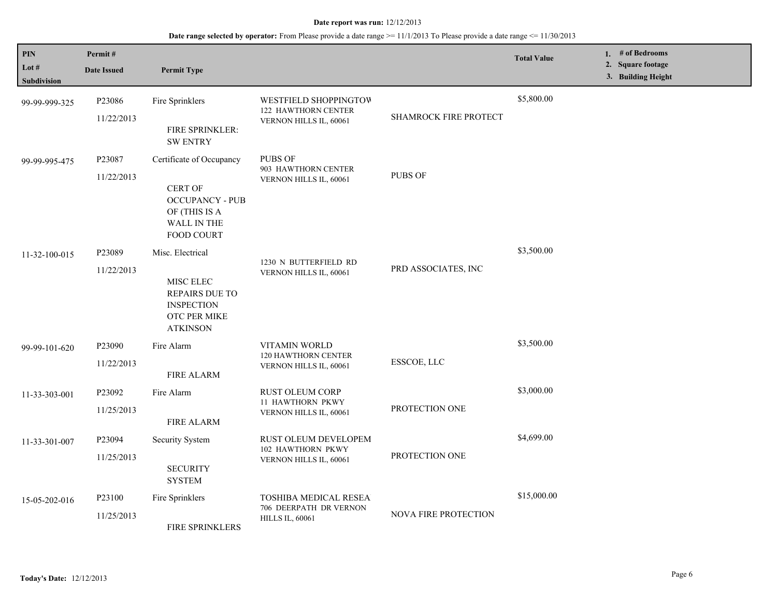| PIN<br>Lot $#$<br><b>Subdivision</b> | Permit#<br><b>Date Issued</b> | <b>Permit Type</b>                                                                                                        |                                                                                  |                              | <b>Total Value</b> | 1. # of Bedrooms<br>2. Square footage<br>3. Building Height |
|--------------------------------------|-------------------------------|---------------------------------------------------------------------------------------------------------------------------|----------------------------------------------------------------------------------|------------------------------|--------------------|-------------------------------------------------------------|
| 99-99-999-325                        | P23086<br>11/22/2013          | Fire Sprinklers<br>FIRE SPRINKLER:<br><b>SW ENTRY</b>                                                                     | WESTFIELD SHOPPINGTOW<br><b>122 HAWTHORN CENTER</b><br>VERNON HILLS IL, 60061    | <b>SHAMROCK FIRE PROTECT</b> | \$5,800.00         |                                                             |
| 99-99-995-475                        | P23087<br>11/22/2013          | Certificate of Occupancy<br><b>CERT OF</b><br><b>OCCUPANCY - PUB</b><br>OF (THIS IS A<br>WALL IN THE<br><b>FOOD COURT</b> | <b>PUBS OF</b><br>903 HAWTHORN CENTER<br>VERNON HILLS IL, 60061                  | <b>PUBS OF</b>               |                    |                                                             |
| 11-32-100-015                        | P23089<br>11/22/2013          | Misc. Electrical<br>MISC ELEC<br><b>REPAIRS DUE TO</b><br><b>INSPECTION</b><br>OTC PER MIKE<br><b>ATKINSON</b>            | 1230 N BUTTERFIELD RD<br>VERNON HILLS IL, 60061                                  | PRD ASSOCIATES, INC          | \$3,500.00         |                                                             |
| 99-99-101-620                        | P23090<br>11/22/2013          | Fire Alarm<br><b>FIRE ALARM</b>                                                                                           | VITAMIN WORLD<br>120 HAWTHORN CENTER<br>VERNON HILLS IL, 60061                   | ESSCOE, LLC                  | \$3,500.00         |                                                             |
| 11-33-303-001                        | P23092<br>11/25/2013          | Fire Alarm<br><b>FIRE ALARM</b>                                                                                           | RUST OLEUM CORP<br>11 HAWTHORN PKWY<br>VERNON HILLS IL, 60061                    | PROTECTION ONE               | \$3,000.00         |                                                             |
| 11-33-301-007                        | P23094<br>11/25/2013          | Security System<br><b>SECURITY</b><br><b>SYSTEM</b>                                                                       | RUST OLEUM DEVELOPEM<br>102 HAWTHORN PKWY<br>VERNON HILLS IL, 60061              | PROTECTION ONE               | \$4,699.00         |                                                             |
| 15-05-202-016                        | P23100<br>11/25/2013          | Fire Sprinklers<br>FIRE SPRINKLERS                                                                                        | <b>TOSHIBA MEDICAL RESEA</b><br>706 DEERPATH DR VERNON<br><b>HILLS IL, 60061</b> | NOVA FIRE PROTECTION         | \$15,000.00        |                                                             |